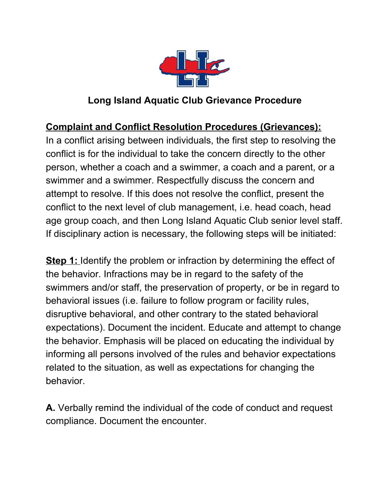

## **Long Island Aquatic Club Grievance Procedure**

## **Complaint and Conflict Resolution Procedures (Grievances):**

In a conflict arising between individuals, the first step to resolving the conflict is for the individual to take the concern directly to the other person, whether a coach and a swimmer, a coach and a parent, or a swimmer and a swimmer. Respectfully discuss the concern and attempt to resolve. If this does not resolve the conflict, present the conflict to the next level of club management, i.e. head coach, head age group coach, and then Long Island Aquatic Club senior level staff. If disciplinary action is necessary, the following steps will be initiated:

**Step 1:** Identify the problem or infraction by determining the effect of the behavior. Infractions may be in regard to the safety of the swimmers and/or staff, the preservation of property, or be in regard to behavioral issues (i.e. failure to follow program or facility rules, disruptive behavioral, and other contrary to the stated behavioral expectations). Document the incident. Educate and attempt to change the behavior. Emphasis will be placed on educating the individual by informing all persons involved of the rules and behavior expectations related to the situation, as well as expectations for changing the behavior.

**A.** Verbally remind the individual of the code of conduct and request compliance. Document the encounter.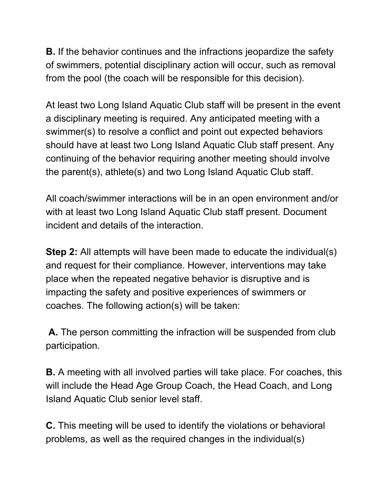**B.** If the behavior continues and the infractions jeopardize the safety of swimmers, potential disciplinary action will occur, such as removal from the pool (the coach will be responsible for this decision).

At least two Long Island Aquatic Club staff will be present in the event a disciplinary meeting is required. Any anticipated meeting with a swimmer(s) to resolve a conflict and point out expected behaviors should have at least two Long Island Aquatic Club staff present. Any continuing of the behavior requiring another meeting should involve the parent(s), athlete(s) and two Long Island Aquatic Club staff.

All coach/swimmer interactions will be in an open environment and/or with at least two Long Island Aquatic Club staff present. Document incident and details of the interaction.

**Step 2:** All attempts will have been made to educate the individual(s) and request for their compliance. However, interventions may take place when the repeated negative behavior is disruptive and is impacting the safety and positive experiences of swimmers or coaches. The following action(s) will be taken:

**A.** The person committing the infraction will be suspended from club participation.

**B.** A meeting with all involved parties will take place. For coaches, this will include the Head Age Group Coach, the Head Coach, and Long Island Aquatic Club senior level staff.

**C.** This meeting will be used to identify the violations or behavioral problems, as well as the required changes in the individual(s)